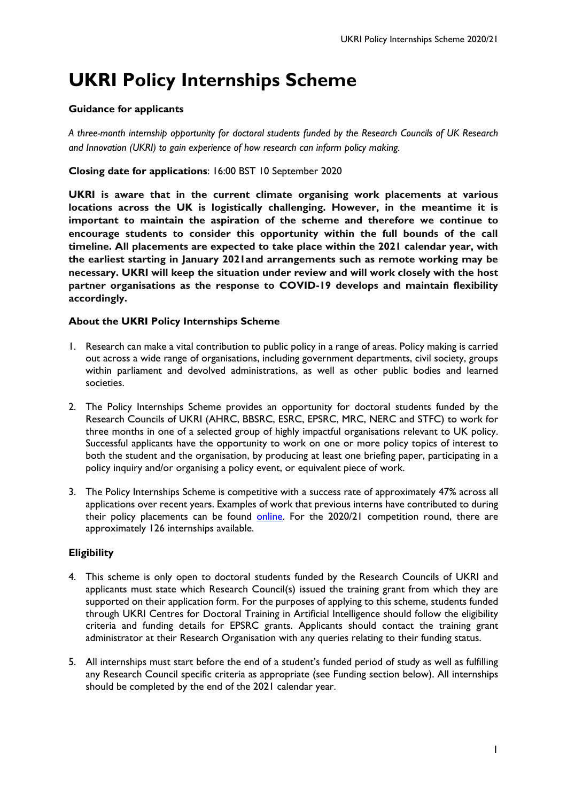# **UKRI Policy Internships Scheme**

# **Guidance for applicants**

*A three-month internship opportunity for doctoral students funded by the Research Councils of UK Research and Innovation (UKRI) to gain experience of how research can inform policy making.*

# **Closing date for applications**: 16:00 BST 10 September 2020

**UKRI is aware that in the current climate organising work placements at various locations across the UK is logistically challenging. However, in the meantime it is important to maintain the aspiration of the scheme and therefore we continue to encourage students to consider this opportunity within the full bounds of the call timeline. All placements are expected to take place within the 2021 calendar year, with the earliest starting in January 2021and arrangements such as remote working may be necessary. UKRI will keep the situation under review and will work closely with the host partner organisations as the response to COVID-19 develops and maintain flexibility accordingly.**

# **About the UKRI Policy Internships Scheme**

- 1. Research can make a vital contribution to public policy in a range of areas. Policy making is carried out across a wide range of organisations, including government departments, civil society, groups within parliament and devolved administrations, as well as other public bodies and learned societies.
- 2. The Policy Internships Scheme provides an opportunity for doctoral students funded by the Research Councils of UKRI (AHRC, BBSRC, ESRC, EPSRC, MRC, NERC and STFC) to work for three months in one of a selected group of highly impactful organisations relevant to UK policy. Successful applicants have the opportunity to work on one or more policy topics of interest to both the student and the organisation, by producing at least one briefing paper, participating in a policy inquiry and/or organising a policy event, or equivalent piece of work.
- 3. The Policy Internships Scheme is competitive with a success rate of approximately 47% across all applications over recent years. Examples of work that previous interns have contributed to during their policy placements can be found [online.](http://www.nerc.ac.uk/funding/available/postgrad/advanced/policy-interns/) For the 2020/21 competition round, there are approximately 126 internships available.

# **Eligibility**

- 4. This scheme is only open to doctoral students funded by the Research Councils of UKRI and applicants must state which Research Council(s) issued the training grant from which they are supported on their application form. For the purposes of applying to this scheme, students funded through UKRI Centres for Doctoral Training in Artificial Intelligence should follow the eligibility criteria and funding details for EPSRC grants. Applicants should contact the training grant administrator at their Research Organisation with any queries relating to their funding status.
- 5. All internships must start before the end of a student's funded period of study as well as fulfilling any Research Council specific criteria as appropriate (see Funding section below). All internships should be completed by the end of the 2021 calendar year.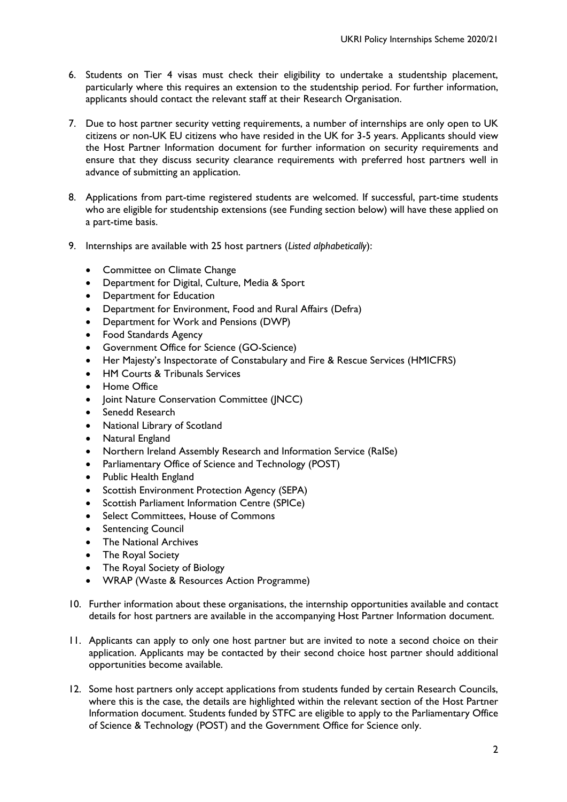- 6. Students on Tier 4 visas must check their eligibility to undertake a studentship placement, particularly where this requires an extension to the studentship period. For further information, applicants should contact the relevant staff at their Research Organisation.
- 7. Due to host partner security vetting requirements, a number of internships are only open to UK citizens or non-UK EU citizens who have resided in the UK for 3-5 years. Applicants should view the Host Partner Information document for further information on security requirements and ensure that they discuss security clearance requirements with preferred host partners well in advance of submitting an application.
- 8. Applications from part-time registered students are welcomed. If successful, part-time students who are eligible for studentship extensions (see Funding section below) will have these applied on a part-time basis.
- 9. Internships are available with 25 host partners (*Listed alphabetically*):
	- Committee on Climate Change
	- Department for Digital, Culture, Media & Sport
	- Department for Education
	- Department for Environment, Food and Rural Affairs (Defra)
	- Department for Work and Pensions (DWP)
	- Food Standards Agency
	- Government Office for Science (GO-Science)
	- Her Majesty's Inspectorate of Constabulary and Fire & Rescue Services (HMICFRS)
	- HM Courts & Tribunals Services
	- Home Office
	- Joint Nature Conservation Committee (JNCC)
	- Senedd Research
	- National Library of Scotland
	- Natural England
	- Northern Ireland Assembly Research and Information Service (RaISe)
	- Parliamentary Office of Science and Technology (POST)
	- Public Health England
	- Scottish Environment Protection Agency (SEPA)
	- Scottish Parliament Information Centre (SPICe)
	- Select Committees, House of Commons
	- Sentencing Council
	- The National Archives
	- The Royal Society
	- The Royal Society of Biology
	- WRAP (Waste & Resources Action Programme)
- 10. Further information about these organisations, the internship opportunities available and contact details for host partners are available in the accompanying Host Partner Information document.
- 11. Applicants can apply to only one host partner but are invited to note a second choice on their application. Applicants may be contacted by their second choice host partner should additional opportunities become available.
- 12. Some host partners only accept applications from students funded by certain Research Councils, where this is the case, the details are highlighted within the relevant section of the Host Partner Information document. Students funded by STFC are eligible to apply to the Parliamentary Office of Science & Technology (POST) and the Government Office for Science only.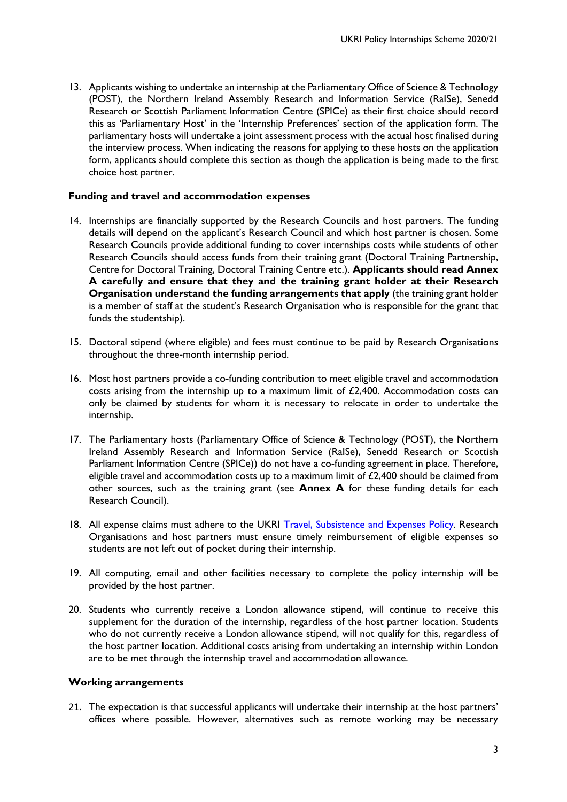13. Applicants wishing to undertake an internship at the Parliamentary Office of Science & Technology (POST), the Northern Ireland Assembly Research and Information Service (RaISe), Senedd Research or Scottish Parliament Information Centre (SPICe) as their first choice should record this as 'Parliamentary Host' in the 'Internship Preferences' section of the application form. The parliamentary hosts will undertake a joint assessment process with the actual host finalised during the interview process. When indicating the reasons for applying to these hosts on the application form, applicants should complete this section as though the application is being made to the first choice host partner.

## **Funding and travel and accommodation expenses**

- 14. Internships are financially supported by the Research Councils and host partners. The funding details will depend on the applicant's Research Council and which host partner is chosen. Some Research Councils provide additional funding to cover internships costs while students of other Research Councils should access funds from their training grant (Doctoral Training Partnership, Centre for Doctoral Training, Doctoral Training Centre etc.). **Applicants should read Annex A carefully and ensure that they and the training grant holder at their Research Organisation understand the funding arrangements that apply** (the training grant holder is a member of staff at the student's Research Organisation who is responsible for the grant that funds the studentship).
- 15. Doctoral stipend (where eligible) and fees must continue to be paid by Research Organisations throughout the three-month internship period.
- 16. Most host partners provide a co-funding contribution to meet eligible travel and accommodation costs arising from the internship up to a maximum limit of £2,400. Accommodation costs can only be claimed by students for whom it is necessary to relocate in order to undertake the internship.
- 17. The Parliamentary hosts (Parliamentary Office of Science & Technology (POST), the Northern Ireland Assembly Research and Information Service (RaISe), Senedd Research or Scottish Parliament Information Centre (SPICe)) do not have a co-funding agreement in place. Therefore, eligible travel and accommodation costs up to a maximum limit of £2,400 should be claimed from other sources, such as the training grant (see **Annex A** for these funding details for each Research Council).
- 18. All expense claims must adhere to the UKRI [Travel, Subsistence and](https://www.ukri.org/files/termsconditions/rcukukriterms/travel-subsistence-and-expenses-pdf/) Expenses Policy. Research Organisations and host partners must ensure timely reimbursement of eligible expenses so students are not left out of pocket during their internship.
- 19. All computing, email and other facilities necessary to complete the policy internship will be provided by the host partner.
- 20. Students who currently receive a London allowance stipend, will continue to receive this supplement for the duration of the internship, regardless of the host partner location. Students who do not currently receive a London allowance stipend, will not qualify for this, regardless of the host partner location. Additional costs arising from undertaking an internship within London are to be met through the internship travel and accommodation allowance.

#### **Working arrangements**

21. The expectation is that successful applicants will undertake their internship at the host partners' offices where possible. However, alternatives such as remote working may be necessary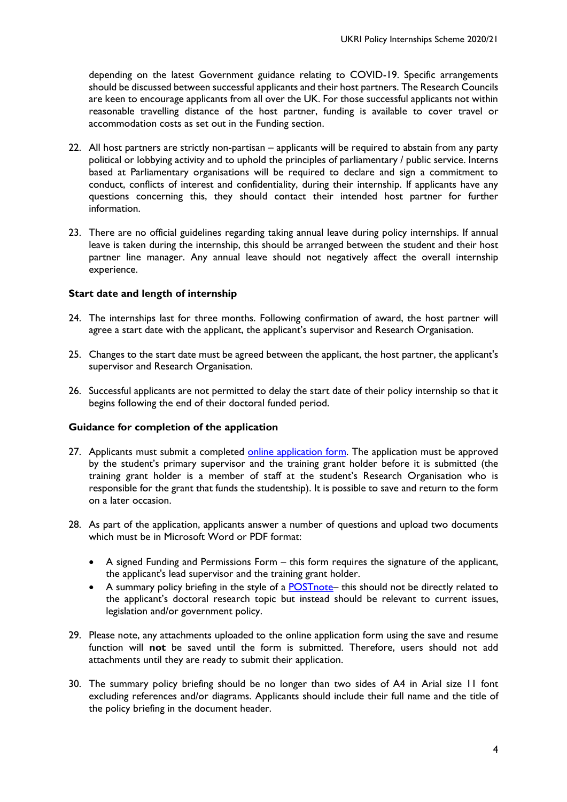depending on the latest Government guidance relating to COVID-19. Specific arrangements should be discussed between successful applicants and their host partners. The Research Councils are keen to encourage applicants from all over the UK. For those successful applicants not within reasonable travelling distance of the host partner, funding is available to cover travel or accommodation costs as set out in the Funding section.

- 22. All host partners are strictly non-partisan applicants will be required to abstain from any party political or lobbying activity and to uphold the principles of parliamentary / public service. Interns based at Parliamentary organisations will be required to declare and sign a commitment to conduct, conflicts of interest and confidentiality, during their internship. If applicants have any questions concerning this, they should contact their intended host partner for further information.
- 23. There are no official guidelines regarding taking annual leave during policy internships. If annual leave is taken during the internship, this should be arranged between the student and their host partner line manager. Any annual leave should not negatively affect the overall internship experience.

# **Start date and length of internship**

- 24. The internships last for three months. Following confirmation of award, the host partner will agree a start date with the applicant, the applicant's supervisor and Research Organisation.
- 25. Changes to the start date must be agreed between the applicant, the host partner, the applicant's supervisor and Research Organisation.
- 26. Successful applicants are not permitted to delay the start date of their policy internship so that it begins following the end of their doctoral funded period.

## **Guidance for completion of the application**

- 27. Applicants must submit a completed [online application form.](https://nerc.formstack.com/forms/policyinternships2020) The application must be approved by the student's primary supervisor and the training grant holder before it is submitted (the training grant holder is a member of staff at the student's Research Organisation who is responsible for the grant that funds the studentship). It is possible to save and return to the form on a later occasion.
- 28. As part of the application, applicants answer a number of questions and upload two documents which must be in Microsoft Word or PDF format:
	- A signed Funding and Permissions Form this form requires the signature of the applicant, the applicant's lead supervisor and the training grant holder.
	- A summary policy briefing in the style of a **POSTnote** this should not be directly related to the applicant's doctoral research topic but instead should be relevant to current issues, legislation and/or government policy.
- 29. Please note, any attachments uploaded to the online application form using the save and resume function will **not** be saved until the form is submitted. Therefore, users should not add attachments until they are ready to submit their application.
- 30. The summary policy briefing should be no longer than two sides of A4 in Arial size 11 font excluding references and/or diagrams. Applicants should include their full name and the title of the policy briefing in the document header.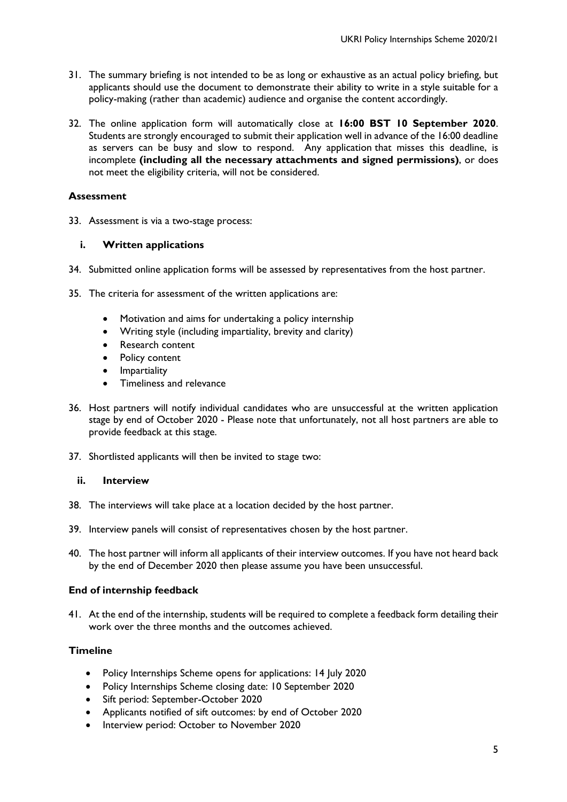- 31. The summary briefing is not intended to be as long or exhaustive as an actual policy briefing, but applicants should use the document to demonstrate their ability to write in a style suitable for a policy-making (rather than academic) audience and organise the content accordingly.
- 32. The online application form will automatically close at **16:00 BST 10 September 2020**. Students are strongly encouraged to submit their application well in advance of the 16:00 deadline as servers can be busy and slow to respond. Any application that misses this deadline, is incomplete **(including all the necessary attachments and signed permissions)**, or does not meet the eligibility criteria, will not be considered.

## **Assessment**

33. Assessment is via a two-stage process:

# **i. Written applications**

- 34. Submitted online application forms will be assessed by representatives from the host partner.
- 35. The criteria for assessment of the written applications are:
	- Motivation and aims for undertaking a policy internship
	- Writing style (including impartiality, brevity and clarity)
	- Research content
	- Policy content
	- Impartiality
	- Timeliness and relevance
- 36. Host partners will notify individual candidates who are unsuccessful at the written application stage by end of October 2020 - Please note that unfortunately, not all host partners are able to provide feedback at this stage.
- 37. Shortlisted applicants will then be invited to stage two:

# **ii. Interview**

- 38. The interviews will take place at a location decided by the host partner.
- 39. Interview panels will consist of representatives chosen by the host partner.
- 40. The host partner will inform all applicants of their interview outcomes. If you have not heard back by the end of December 2020 then please assume you have been unsuccessful.

## **End of internship feedback**

41. At the end of the internship, students will be required to complete a feedback form detailing their work over the three months and the outcomes achieved.

## **Timeline**

- Policy Internships Scheme opens for applications: 14 July 2020
- Policy Internships Scheme closing date: 10 September 2020
- Sift period: September-October 2020
- Applicants notified of sift outcomes: by end of October 2020
- Interview period: October to November 2020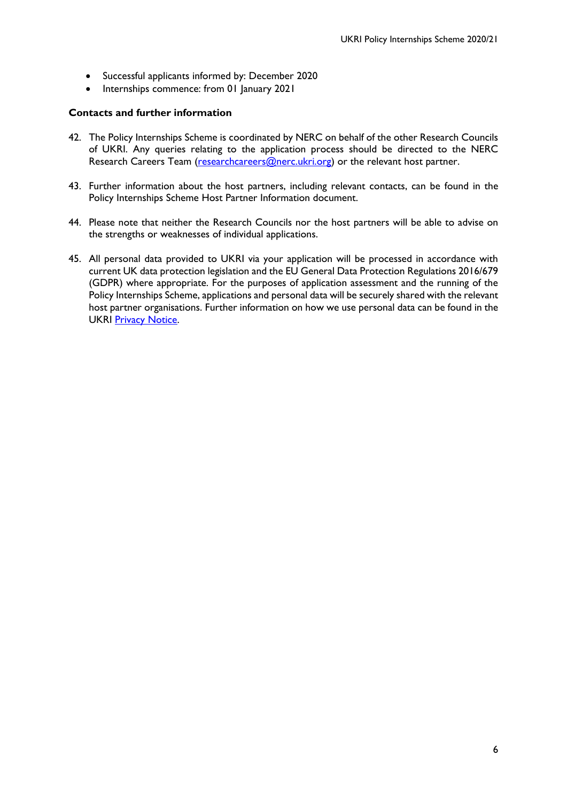- Successful applicants informed by: December 2020
- Internships commence: from 01 January 2021

#### **Contacts and further information**

- 42. The Policy Internships Scheme is coordinated by NERC on behalf of the other Research Councils of UKRI. Any queries relating to the application process should be directed to the NERC Research Careers Team [\(researchcareers@nerc.ukri.org\)](mailto:researchcareers@nerc.ukri.org) or the relevant host partner.
- 43. Further information about the host partners, including relevant contacts, can be found in the Policy Internships Scheme Host Partner Information document.
- 44. Please note that neither the Research Councils nor the host partners will be able to advise on the strengths or weaknesses of individual applications.
- 45. All personal data provided to UKRI via your application will be processed in accordance with current UK data protection legislation and the EU General Data Protection Regulations 2016/679 (GDPR) where appropriate. For the purposes of application assessment and the running of the Policy Internships Scheme, applications and personal data will be securely shared with the relevant host partner organisations. Further information on how we use personal data can be found in the UKRI [Privacy Notice.](https://www.ukri.org/privacy-notice/)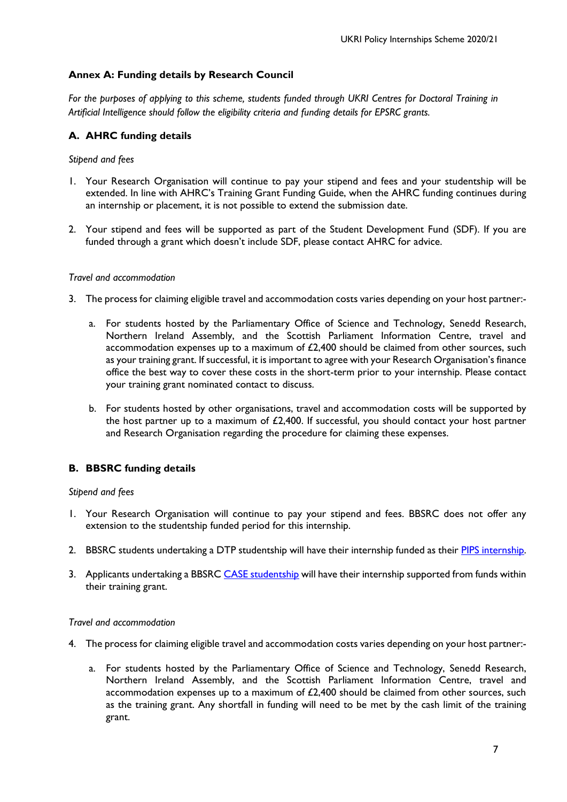# **Annex A: Funding details by Research Council**

*For the purposes of applying to this scheme, students funded through UKRI Centres for Doctoral Training in Artificial Intelligence should follow the eligibility criteria and funding details for EPSRC grants.*

# **A. AHRC funding details**

## *Stipend and fees*

- 1. Your Research Organisation will continue to pay your stipend and fees and your studentship will be extended. In line with AHRC's Training Grant Funding Guide, when the AHRC funding continues during an internship or placement, it is not possible to extend the submission date.
- 2. Your stipend and fees will be supported as part of the Student Development Fund (SDF). If you are funded through a grant which doesn't include SDF, please contact AHRC for advice.

#### *Travel and accommodation*

- 3. The process for claiming eligible travel and accommodation costs varies depending on your host partner:
	- a. For students hosted by the Parliamentary Office of Science and Technology, Senedd Research, Northern Ireland Assembly, and the Scottish Parliament Information Centre, travel and accommodation expenses up to a maximum of  $£2,400$  should be claimed from other sources, such as your training grant. If successful, it is important to agree with your Research Organisation's finance office the best way to cover these costs in the short-term prior to your internship. Please contact your training grant nominated contact to discuss.
	- b. For students hosted by other organisations, travel and accommodation costs will be supported by the host partner up to a maximum of  $£2,400$ . If successful, you should contact your host partner and Research Organisation regarding the procedure for claiming these expenses.

## **B. BBSRC funding details**

#### *Stipend and fees*

- 1. Your Research Organisation will continue to pay your stipend and fees. BBSRC does not offer any extension to the studentship funded period for this internship.
- 2. BBSRC students undertaking a DTP studentship will have their internship funded as their [PIPS internship.](http://www.bbsrc.ac.uk/skills/investing-doctoral-training/pips/)
- 3. Applicants undertaking a BBSRC [CASE studentship](http://www.bbsrc.ac.uk/skills/investing-doctoral-training/case-partnerships/) will have their internship supported from funds within their training grant.

#### *Travel and accommodation*

- 4. The process for claiming eligible travel and accommodation costs varies depending on your host partner:
	- a. For students hosted by the Parliamentary Office of Science and Technology, Senedd Research, Northern Ireland Assembly, and the Scottish Parliament Information Centre, travel and accommodation expenses up to a maximum of £2,400 should be claimed from other sources, such as the training grant. Any shortfall in funding will need to be met by the cash limit of the training grant.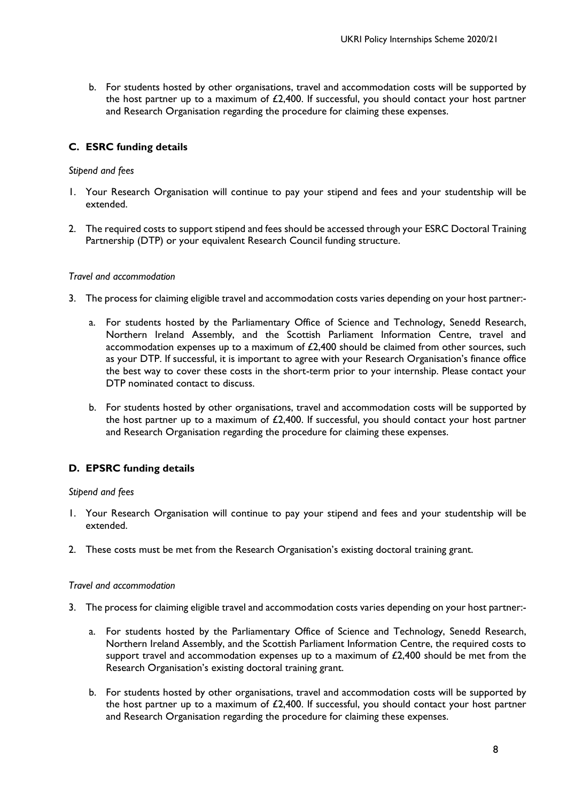b. For students hosted by other organisations, travel and accommodation costs will be supported by the host partner up to a maximum of £2,400. If successful, you should contact your host partner and Research Organisation regarding the procedure for claiming these expenses.

# **C. ESRC funding details**

## *Stipend and fees*

- 1. Your Research Organisation will continue to pay your stipend and fees and your studentship will be extended.
- 2. The required costs to support stipend and fees should be accessed through your ESRC Doctoral Training Partnership (DTP) or your equivalent Research Council funding structure.

#### *Travel and accommodation*

- 3. The process for claiming eligible travel and accommodation costs varies depending on your host partner:
	- a. For students hosted by the Parliamentary Office of Science and Technology, Senedd Research, Northern Ireland Assembly, and the Scottish Parliament Information Centre, travel and accommodation expenses up to a maximum of £2,400 should be claimed from other sources, such as your DTP. If successful, it is important to agree with your Research Organisation's finance office the best way to cover these costs in the short-term prior to your internship. Please contact your DTP nominated contact to discuss.
	- b. For students hosted by other organisations, travel and accommodation costs will be supported by the host partner up to a maximum of £2,400. If successful, you should contact your host partner and Research Organisation regarding the procedure for claiming these expenses.

## **D. EPSRC funding details**

## *Stipend and fees*

- 1. Your Research Organisation will continue to pay your stipend and fees and your studentship will be extended.
- 2. These costs must be met from the Research Organisation's existing doctoral training grant.

#### *Travel and accommodation*

- 3. The process for claiming eligible travel and accommodation costs varies depending on your host partner:
	- a. For students hosted by the Parliamentary Office of Science and Technology, Senedd Research, Northern Ireland Assembly, and the Scottish Parliament Information Centre, the required costs to support travel and accommodation expenses up to a maximum of  $£2,400$  should be met from the Research Organisation's existing doctoral training grant.
	- b. For students hosted by other organisations, travel and accommodation costs will be supported by the host partner up to a maximum of £2,400. If successful, you should contact your host partner and Research Organisation regarding the procedure for claiming these expenses.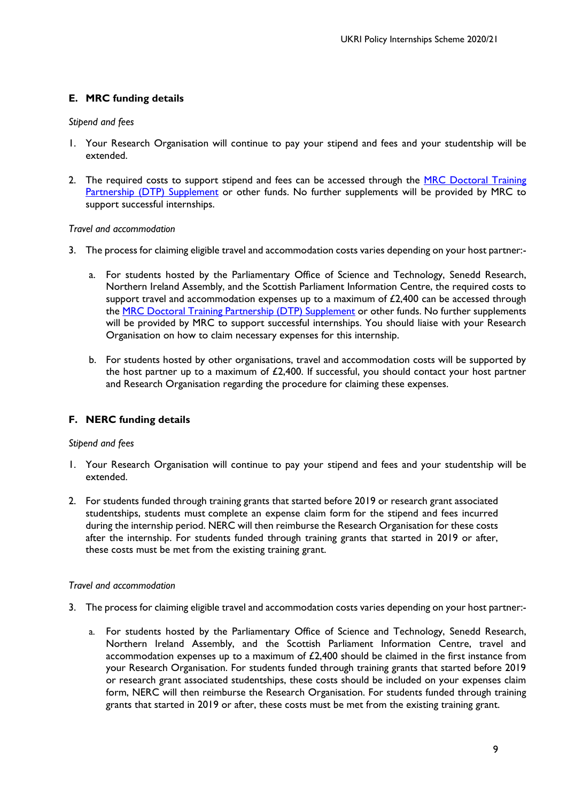# **E. MRC funding details**

#### *Stipend and fees*

- 1. Your Research Organisation will continue to pay your stipend and fees and your studentship will be extended.
- 2. The required costs to support stipend and fees can be accessed through the MRC Doctoral Training [Partnership \(DTP\) Supplement](https://www.mrc.ac.uk/skills-careers/studentships/studentship-guidance/additional-support/) or other funds. No further supplements will be provided by MRC to support successful internships.

#### *Travel and accommodation*

- 3. The process for claiming eligible travel and accommodation costs varies depending on your host partner:
	- a. For students hosted by the Parliamentary Office of Science and Technology, Senedd Research, Northern Ireland Assembly, and the Scottish Parliament Information Centre, the required costs to support travel and accommodation expenses up to a maximum of  $£2,400$  can be accessed through the [MRC Doctoral Training Partnership \(DTP\) Supplement](https://www.mrc.ac.uk/skills-careers/studentships/studentship-guidance/additional-support/) or other funds. No further supplements will be provided by MRC to support successful internships. You should liaise with your Research Organisation on how to claim necessary expenses for this internship.
	- b. For students hosted by other organisations, travel and accommodation costs will be supported by the host partner up to a maximum of £2,400. If successful, you should contact your host partner and Research Organisation regarding the procedure for claiming these expenses.

# **F. NERC funding details**

## *Stipend and fees*

- 1. Your Research Organisation will continue to pay your stipend and fees and your studentship will be extended.
- 2. For students funded through training grants that started before 2019 or research grant associated studentships, students must complete an expense claim form for the stipend and fees incurred during the internship period. NERC will then reimburse the Research Organisation for these costs after the internship. For students funded through training grants that started in 2019 or after, these costs must be met from the existing training grant.

## *Travel and accommodation*

- 3. The process for claiming eligible travel and accommodation costs varies depending on your host partner:
	- a. For students hosted by the Parliamentary Office of Science and Technology, Senedd Research, Northern Ireland Assembly, and the Scottish Parliament Information Centre, travel and accommodation expenses up to a maximum of  $£2,400$  should be claimed in the first instance from your Research Organisation. For students funded through training grants that started before 2019 or research grant associated studentships, these costs should be included on your expenses claim form, NERC will then reimburse the Research Organisation. For students funded through training grants that started in 2019 or after, these costs must be met from the existing training grant.